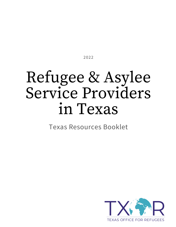2022

# Refugee & Asylee Service Providers in Texas

Texas Resources Booklet

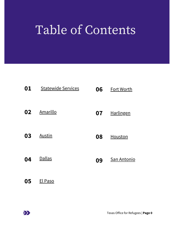## Table of Contents

| 01 | <b>Statewide Services</b> | 06 | <b>Fort Worth</b> |
|----|---------------------------|----|-------------------|
| 02 | Amarillo                  | 07 | <b>Harlingen</b>  |
| 03 | Austin                    | 08 | Houston           |
| 04 | <b>Dallas</b>             | 09 | San Antonio       |
| 05 | El Paso                   |    |                   |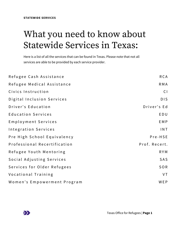### <span id="page-2-0"></span>What you need to know about Statewide Services in Texas:

Here is a list of all the services that can be found in Texas. Please note that not all services are able to be provided by each service provider.

| Refugee Cash Assistance      | <b>RCA</b>    |
|------------------------------|---------------|
| Refugee Medical Assistance   | <b>RMA</b>    |
| Civics Instruction           | CI            |
| Digital Inclusion Services   | <b>DIS</b>    |
| Driver's Education           | Driver's Ed   |
| <b>Education Services</b>    | EDU           |
| Employment Services          | <b>EMP</b>    |
| Integration Services         | INT           |
| Pre High School Equivalency  | Pre-HSE       |
| Professional Recertification | Prof. Recert. |
| Refugee Youth Mentoring      | <b>RYM</b>    |
| Social Adjusting Services    | SAS           |
| Services for Older Refugees  | SOR           |
| Vocational Training          | VT            |
| Women's Empowerment Program  | WEP           |

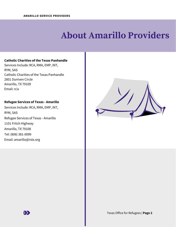### **About Amarillo Providers**

#### <span id="page-3-0"></span>**Catholic Charities of the Texas Panhandle**

Services Include: RCA, RMA, EMP, INT, RYM, SAS Catholic Charities of the Texas Panhandle 2801 Duniven Circle Amarillo, TX 79109 Email: n/a

### **Refugee Services of Texas - Amarillo**

Services Include: RCA, RMA, EMP, INT, RYM, SAS Refugee Services of Texas - Amarillo 1101 Fritch Highway Amarillo, TX 79108 Tel: (806) 381-0099 Email: amarillo@rstx.org



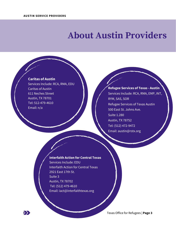### <span id="page-4-0"></span>**About Austin Providers**



 $\sum$ 

Services Include: RCA, RMA, EDU Caritas of Austin 611 Neches Street Austin, TX 78701 Tel: 512-479-4610 Email: n/a

### **Refugee Services of Texas - Austin** Services Include: RCA, RMA, EMP, INT, RYM, SAS, SOR Refugee Services of Texas Austin 500 East St. Johns Ave. Suite 1.280 Austin, TX 78752 Tel: (512) 472-9472 Email: austin@rstx.org

#### **Interfaith Action for Central Texas**

Services Include: EDU Interfaith Action for Central Texas 2921 East 17th St. Suite 3 Austin, TX 78702 Tel: (512) 479-4610 Email: iact@interfaithtexas.org

Texas Office for Refugees | **Page 3**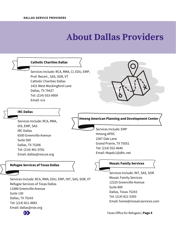### **About Dallas Providers**

<span id="page-5-0"></span>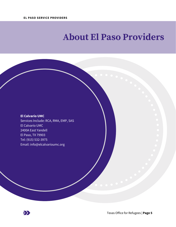### <span id="page-6-0"></span>**About El Paso Providers**

#### **El Calvario UMC**

Services Include: RCA, RMA, EMP, SAS El Calvario UMC 2400A East Yandell El Paso, TX 79903 Tel: (915) 532-3975 Email: [info@elcalvarioumc.org](mailto:info@elcalvarioumc.org)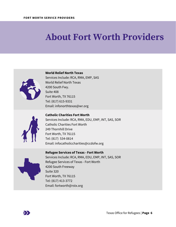### <span id="page-7-0"></span>**About Fort Worth Providers**



**World Relief North Texas**

Services Include: RCA, RMA, EMP, SAS World Relief North Texas 4200 South Fwy. Suite 408 Fort Worth, TX 76115 Tel: (817) 615-9331 Email: infonorthtexas@wr.org



**Catholic Charities Fort Worth** Services Include: RCA, RMA, EDU, EMP, INT, SAS, SOR Catholic Charities Fort Worth 249 Thornhill Drive Fort Worth, TX 76115 Tel: (817) 534-0814 Email: infocatholiccharities@ccdofw.org



**Refugee Services of Texas - Fort Worth** Services Include: RCA, RMA, EDU, EMP, INT, SAS, SOR Refugee Services of Texas - Fort Worth 4200 South Freeway Suite 320 Fort Worth, TX 76115 Tel: (817) 413-3772 Email: fortworth@rstx.org

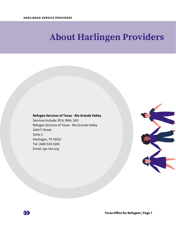### <span id="page-8-0"></span>**About Harlingen Providers**

#### **Refugee Services of Texas - Rio Grande Valley**

Services Include: RCA, RMA, SAS Refugee Services of Texas - Rio Grande Valley 2404 F Street Suite C Harlingen, TX 78552 Tel: (469) 919-5265 Email: rgv.rstx.org



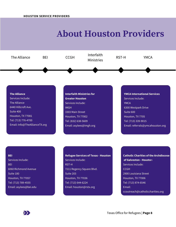### **About Houston Providers**

<span id="page-9-0"></span>

#### **The Alliance**

Services Include: The Alliance 6440 Hillcroft Ave. Suite 400 Houston, TX 77081 Tel: (713) 776-4700 Email: Info@TheAllianceTX.org

### **Interfaith Ministries for Greater Houston** Services Include: IMGH 3303 Main Street Houston, TX 77002 Tel: (832) 638-5609 Email: asylees@imgh.org

#### **YMCA International Services** Services Include: **YMCA** 6300 Westpark Drive Suite 600 Houston, TX 7705 Tel: (713) 339-9015 Email: referrals@ymcahouston.org

#### **BEI**

Services Include: **BEI** 6060 Richmond Avenue Suite 180 Houston, TX 77057 Tel: (713) 789-4555 Email: asylees@bei.edu

#### **Refugee Services of Texas - Houston** Services Include: RST-H 7211 Regency Square Blvd. Suite 203 Houston, TX 77036 Tel: (713) 644-6224 Email: houston@rstx.org

**Catholic Charities of the Archdiocese of Galveston - Housto**n Services Include: **CCGH** 2900 Louisiana Street Houston, TX 77006 Tel: (713) 874-6546 Email: ccoutreach@catholiccharities.org

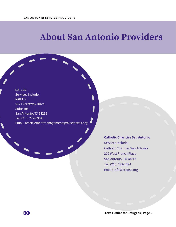### <span id="page-10-0"></span>**About San Antonio Providers**

#### **RAICES**

Services Include: RAICES 5121 Crestway Drive Suite 105 San Antonio, TX 78239 Tel: (210) 222-0964 Email: resettlementmanagement@raicestexas.org

### **Catholic Charities San Antonio**

Services Include: Catholic Charities San Antonio 202 West French Place San Antonio, TX 78212 Tel: (210) 222-1294 Email: info@ccaosa.org